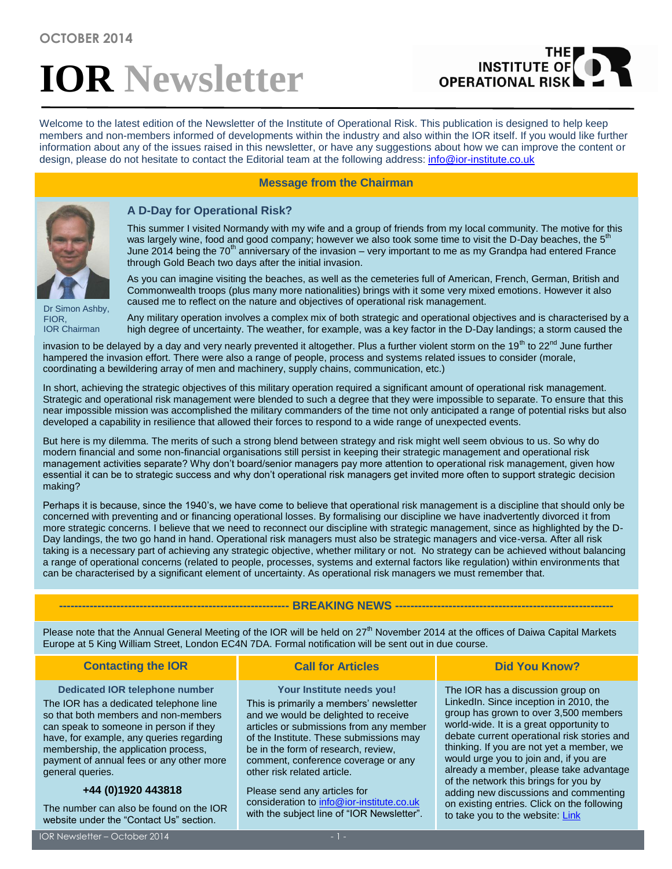# **IOR Newsletter**

## THE<br>|INSTITUTE OF **OPERATIONAL RIS**

Welcome to the latest edition of the Newsletter of the Institute of Operational Risk. This publication is designed to help keep members and non-members informed of developments within the industry and also within the IOR itself. If you would like further information about any of the issues raised in this newsletter, or have any suggestions about how we can improve the content or design, please do not hesitate to contact the Editorial team at the following address: [info@ior-institute.co.uk](mailto:info@ior-institute.co.uk)

#### **Message from the Chairman**



#### **A D-Day for Operational Risk?**

This summer I visited Normandy with my wife and a group of friends from my local community. The motive for this was largely wine, food and good company; however we also took some time to visit the D-Day beaches, the  $5<sup>th</sup>$ June 2014 being the  $70<sup>th</sup>$  anniversary of the invasion – very important to me as my Grandpa had entered France through Gold Beach two days after the initial invasion.

As you can imagine visiting the beaches, as well as the cemeteries full of American, French, German, British and Commonwealth troops (plus many more nationalities) brings with it some very mixed emotions. However it also caused me to reflect on the nature and objectives of operational risk management.

Dr Simon Ashby, FIOR, IOR Chairman

Any military operation involves a complex mix of both strategic and operational objectives and is characterised by a high degree of uncertainty. The weather, for example, was a key factor in the D-Day landings; a storm caused the

invasion to be delayed by a day and very nearly prevented it altogether. Plus a further violent storm on the 19<sup>th</sup> to 22<sup>nd</sup> June further hampered the invasion effort. There were also a range of people, process and systems related issues to consider (morale, coordinating a bewildering array of men and machinery, supply chains, communication, etc.)

In short, achieving the strategic objectives of this military operation required a significant amount of operational risk management. Strategic and operational risk management were blended to such a degree that they were impossible to separate. To ensure that this near impossible mission was accomplished the military commanders of the time not only anticipated a range of potential risks but also developed a capability in resilience that allowed their forces to respond to a wide range of unexpected events.

But here is my dilemma. The merits of such a strong blend between strategy and risk might well seem obvious to us. So why do modern financial and some non-financial organisations still persist in keeping their strategic management and operational risk management activities separate? Why don't board/senior managers pay more attention to operational risk management, given how essential it can be to strategic success and why don't operational risk managers get invited more often to support strategic decision making?

Perhaps it is because, since the 1940's, we have come to believe that operational risk management is a discipline that should only be concerned with preventing and or financing operational losses. By formalising our discipline we have inadvertently divorced it from more strategic concerns. I believe that we need to reconnect our discipline with strategic management, since as highlighted by the D-Day landings, the two go hand in hand. Operational risk managers must also be strategic managers and vice-versa. After all risk taking is a necessary part of achieving any strategic objective, whether military or not. No strategy can be achieved without balancing a range of operational concerns (related to people, processes, systems and external factors like regulation) within environments that can be characterised by a significant element of uncertainty. As operational risk managers we must remember that.

#### **-- BREAKING NEWS ----**

Please note that the Annual General Meeting of the IOR will be held on  $27<sup>th</sup>$  November 2014 at the offices of Daiwa Capital Markets Europe at 5 King William Street, London EC4N 7DA. Formal notification will be sent out in due course.

| <b>Contacting the IOR</b>                                                                                                                                                                                                                                                                                             | <b>Call for Articles</b>                                                                                                                                                                                                                                                                                        | <b>Did You Know?</b>                                                                                                                                                                                                                                                                                                                                                                                                                                                                                                   |
|-----------------------------------------------------------------------------------------------------------------------------------------------------------------------------------------------------------------------------------------------------------------------------------------------------------------------|-----------------------------------------------------------------------------------------------------------------------------------------------------------------------------------------------------------------------------------------------------------------------------------------------------------------|------------------------------------------------------------------------------------------------------------------------------------------------------------------------------------------------------------------------------------------------------------------------------------------------------------------------------------------------------------------------------------------------------------------------------------------------------------------------------------------------------------------------|
| <b>Dedicated IOR telephone number</b><br>The IOR has a dedicated telephone line<br>so that both members and non-members<br>can speak to someone in person if they<br>have, for example, any queries regarding<br>membership, the application process,<br>payment of annual fees or any other more<br>general queries. | Your Institute needs you!<br>This is primarily a members' newsletter<br>and we would be delighted to receive<br>articles or submissions from any member<br>of the Institute. These submissions may<br>be in the form of research, review,<br>comment, conference coverage or any<br>other risk related article. | The IOR has a discussion group on<br>LinkedIn. Since inception in 2010, the<br>group has grown to over 3,500 members<br>world-wide. It is a great opportunity to<br>debate current operational risk stories and<br>thinking. If you are not yet a member, we<br>would urge you to join and, if you are<br>already a member, please take advantage<br>of the network this brings for you by<br>adding new discussions and commenting<br>on existing entries. Click on the following<br>to take you to the website: Link |
| +44 (0)1920 443818<br>The number can also be found on the IOR<br>website under the "Contact Us" section.                                                                                                                                                                                                              | Please send any articles for<br>consideration to info@ior-institute.co.uk<br>with the subject line of "IOR Newsletter".                                                                                                                                                                                         |                                                                                                                                                                                                                                                                                                                                                                                                                                                                                                                        |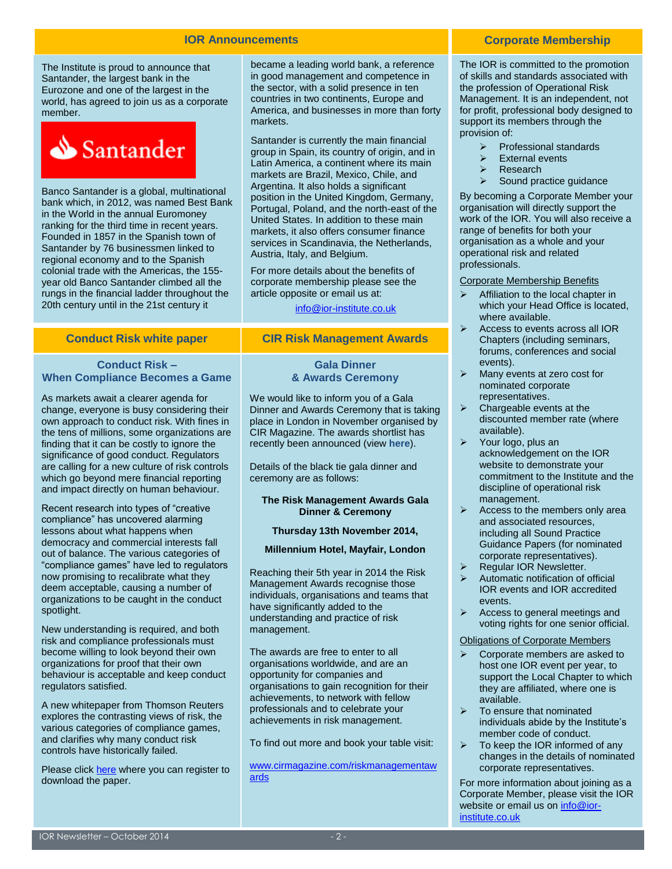#### **IOR Announcements**

The Institute is proud to announce that Santander, the largest bank in the Eurozone and one of the largest in the world, has agreed to join us as a corporate member.



Banco Santander is a global, multinational bank which, in 2012, was named Best Bank in the World in the annual Euromoney ranking for the third time in recent years. Founded in 1857 in the Spanish town of Santander by 76 businessmen linked to regional economy and to the Spanish colonial trade with the Americas, the 155 year old Banco Santander climbed all the rungs in the financial ladder throughout the 20th century until in the 21st century it

became a leading world bank, a reference in good management and competence in the sector, with a solid presence in ten countries in two continents, Europe and America, and businesses in more than forty markets.

Santander is currently the main financial group in Spain, its country of origin, and in Latin America, a continent where its main markets are Brazil, Mexico, Chile, and Argentina. It also holds a significant position in the United Kingdom, Germany, Portugal, Poland, and the north-east of the United States. In addition to these main markets, it also offers consumer finance services in Scandinavia, the Netherlands, Austria, Italy, and Belgium.

For more details about the benefits of corporate membership please see the article opposite or email us at:

[info@ior-institute.co.uk](mailto:info@ior-institute.co.uk)

## **Conduct Risk white paper CIR Risk Management Awards**

#### **Conduct Risk – When Compliance Becomes a Game**

As markets await a clearer agenda for change, everyone is busy considering their own approach to conduct risk. With fines in the tens of millions, some organizations are finding that it can be costly to ignore the significance of good conduct. Regulators are calling for a new culture of risk controls which go beyond mere financial reporting and impact directly on human behaviour.

Recent research into types of "creative compliance" has uncovered alarming lessons about what happens when democracy and commercial interests fall out of balance. The various categories of "compliance games" have led to regulators now promising to recalibrate what they deem acceptable, causing a number of organizations to be caught in the conduct spotlight.

New understanding is required, and both risk and compliance professionals must become willing to look beyond their own organizations for proof that their own behaviour is acceptable and keep conduct regulators satisfied.

A new whitepaper from Thomson Reuters explores the contrasting views of risk, the various categories of compliance games, and clarifies why many conduct risk controls have historically failed.

Please click [here](http://info.accelus.thomsonreuters.com/IORConductRiskWhitepaper) where you can register to download the paper.

#### **Gala Dinner & Awards Ceremony**

We would like to inform you of a Gala Dinner and Awards Ceremony that is taking place in London in November organised by CIR Magazine. The awards shortlist has recently been announced (view **[here](http://www.cirmagazine.com/riskmanagementawards/shortlist.php)**).

Details of the black tie gala dinner and ceremony are as follows:

#### **The Risk Management Awards Gala Dinner & Ceremony**

#### **Thursday 13th November 2014,**

#### **Millennium Hotel, Mayfair, London**

Reaching their 5th year in 2014 the Risk Management Awards recognise those individuals, organisations and teams that have significantly added to the understanding and practice of risk management.

The awards are free to enter to all organisations worldwide, and are an opportunity for companies and organisations to gain recognition for their achievements, to network with fellow professionals and to celebrate your achievements in risk management.

To find out more and book your table visit:

[www.cirmagazine.com/riskmanagementaw](http://ior-institute.us2.list-manage2.com/track/click?u=13ac7f6fa26b99d6a6a6511a0&id=9a6f748e98&e=f503a0345a) [ards](http://ior-institute.us2.list-manage2.com/track/click?u=13ac7f6fa26b99d6a6a6511a0&id=9a6f748e98&e=f503a0345a)

#### **Corporate Membership**

The IOR is committed to the promotion of skills and standards associated with the profession of Operational Risk Management. It is an independent, not for profit, professional body designed to support its members through the provision of:

- Professional standards
- External events
- Research
- Sound practice guidance

By becoming a Corporate Member your organisation will directly support the work of the IOR. You will also receive a range of benefits for both your organisation as a whole and your operational risk and related professionals.

#### Corporate Membership Benefits

- $\triangleright$  Affiliation to the local chapter in which your Head Office is located, where available.
- $\triangleright$  Access to events across all IOR Chapters (including seminars, forums, conferences and social events).
- $\triangleright$  Many events at zero cost for nominated corporate representatives.
- $\triangleright$  Chargeable events at the discounted member rate (where available).
- $\triangleright$  Your logo, plus an acknowledgement on the IOR website to demonstrate your commitment to the Institute and the discipline of operational risk management.
- $\triangleright$  Access to the members only area and associated resources, including all Sound Practice Guidance Papers (for nominated corporate representatives).
- $\triangleright$  Regular IOR Newsletter.
- Automatic notification of official IOR events and IOR accredited events.
- $\triangleright$  Access to general meetings and voting rights for one senior official.

#### Obligations of Corporate Members

- $\triangleright$  Corporate members are asked to host one IOR event per year, to support the Local Chapter to which they are affiliated, where one is available.
- $\triangleright$  To ensure that nominated individuals abide by the Institute's member code of conduct.
- $\triangleright$  To keep the IOR informed of any changes in the details of nominated corporate representatives.

For more information about joining as a Corporate Member, please visit the IOR website or email us on [info@ior](mailto:info@ior-institute.co.uk)[institute.co.uk](mailto:info@ior-institute.co.uk)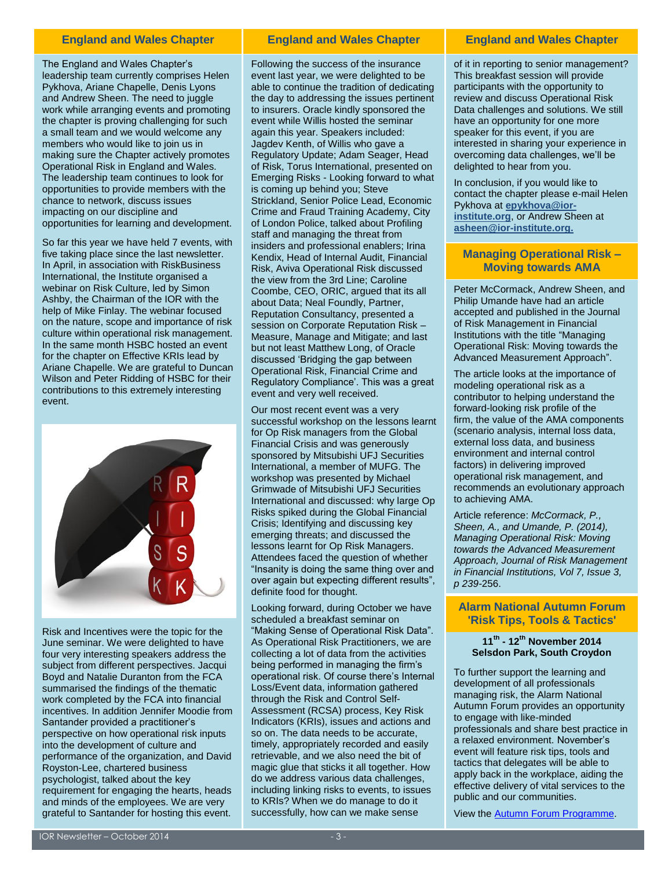The England and Wales Chapter's leadership team currently comprises Helen Pykhova, Ariane Chapelle, Denis Lyons and Andrew Sheen. The need to juggle work while arranging events and promoting the chapter is proving challenging for such a small team and we would welcome any members who would like to join us in making sure the Chapter actively promotes Operational Risk in England and Wales. The leadership team continues to look for opportunities to provide members with the chance to network, discuss issues impacting on our discipline and opportunities for learning and development.

So far this year we have held 7 events, with five taking place since the last newsletter. In April, in association with RiskBusiness International, the Institute organised a webinar on Risk Culture, led by Simon Ashby, the Chairman of the IOR with the help of Mike Finlay. The webinar focused on the nature, scope and importance of risk culture within operational risk management. In the same month HSBC hosted an event for the chapter on Effective KRIs lead by Ariane Chapelle. We are grateful to Duncan Wilson and Peter Ridding of HSBC for their contributions to this extremely interesting event.



Risk and Incentives were the topic for the June seminar. We were delighted to have four very interesting speakers address the subject from different perspectives. Jacqui Boyd and Natalie Duranton from the FCA summarised the findings of the thematic work completed by the FCA into financial incentives. In addition Jennifer Moodie from Santander provided a practitioner's perspective on how operational risk inputs into the development of culture and performance of the organization, and David Royston-Lee, chartered business psychologist, talked about the key requirement for engaging the hearts, heads and minds of the employees. We are very grateful to Santander for hosting this event.

#### **England and Wales Chapter England and Wales Chapter England and Wales Chapter**

Following the success of the insurance event last year, we were delighted to be able to continue the tradition of dedicating the day to addressing the issues pertinent to insurers. Oracle kindly sponsored the event while Willis hosted the seminar again this year. Speakers included: Jagdev Kenth, of Willis who gave a Regulatory Update; Adam Seager, Head of Risk, Torus International, presented on Emerging Risks - Looking forward to what is coming up behind you; Steve Strickland, Senior Police Lead, Economic Crime and Fraud Training Academy, City of London Police, talked about Profiling staff and managing the threat from insiders and professional enablers; Irina Kendix, Head of Internal Audit, Financial Risk, Aviva Operational Risk discussed the view from the 3rd Line; Caroline Coombe, CEO, ORIC, argued that its all about Data; Neal Foundly, Partner, Reputation Consultancy, presented a session on Corporate Reputation Risk – Measure, Manage and Mitigate; and last but not least Matthew Long, of Oracle discussed 'Bridging the gap between Operational Risk, Financial Crime and Regulatory Compliance'. This was a great event and very well received.

Our most recent event was a very successful workshop on the lessons learnt for Op Risk managers from the Global Financial Crisis and was generously sponsored by Mitsubishi UFJ Securities International, a member of MUFG. The workshop was presented by Michael Grimwade of Mitsubishi UFJ Securities International and discussed: why large Op Risks spiked during the Global Financial Crisis; Identifying and discussing key emerging threats; and discussed the lessons learnt for Op Risk Managers. Attendees faced the question of whether "Insanity is doing the same thing over and over again but expecting different results", definite food for thought.

Looking forward, during October we have scheduled a breakfast seminar on "Making Sense of Operational Risk Data". As Operational Risk Practitioners, we are collecting a lot of data from the activities being performed in managing the firm's operational risk. Of course there's Internal Loss/Event data, information gathered through the Risk and Control Self-Assessment (RCSA) process, Key Risk Indicators (KRIs), issues and actions and so on. The data needs to be accurate, timely, appropriately recorded and easily retrievable, and we also need the bit of magic glue that sticks it all together. How do we address various data challenges, including linking risks to events, to issues to KRIs? When we do manage to do it successfully, how can we make sense

of it in reporting to senior management? This breakfast session will provide participants with the opportunity to review and discuss Operational Risk Data challenges and solutions. We still have an opportunity for one more speaker for this event, if you are interested in sharing your experience in overcoming data challenges, we'll be delighted to hear from you.

In conclusion, if you would like to contact the chapter please e-mail Helen Pykhova at **[epykhova@ior](mailto:epykhova@ior-institute.org)[institute.org](mailto:epykhova@ior-institute.org)**, or Andrew Sheen at **[asheen@ior-institute.org.](mailto:asheen@ior-institute.org)**

#### **Managing Operational Risk – Moving towards AMA**

Peter McCormack, Andrew Sheen, and Philip Umande have had an article accepted and published in the Journal of Risk Management in Financial Institutions with the title "Managing Operational Risk: Moving towards the Advanced Measurement Approach".

The article looks at the importance of modeling operational risk as a contributor to helping understand the forward-looking risk profile of the firm, the value of the AMA components (scenario analysis, internal loss data, external loss data, and business environment and internal control factors) in delivering improved operational risk management, and recommends an evolutionary approach to achieving AMA.

Article reference: *McCormack, P., Sheen, A., and Umande, P. (2014), Managing Operational Risk: Moving towards the Advanced Measurement Approach, Journal of Risk Management in Financial Institutions, Vol 7, Issue 3, p 239-*256.

#### **Alarm National Autumn Forum 'Risk Tips, Tools & Tactics'**

#### **11th - 12th November 2014 Selsdon Park, South Croydon**

To further support the learning and development of all professionals managing risk, the Alarm National Autumn Forum provides an opportunity to engage with like-minded professionals and share best practice in a relaxed environment. November's event will feature risk tips, tools and tactics that delegates will be able to apply back in the workplace, aiding the effective delivery of vital services to the public and our communities.

View th[e Autumn Forum Programme.](http://www.alarm-uk.org/events/autumn-forum)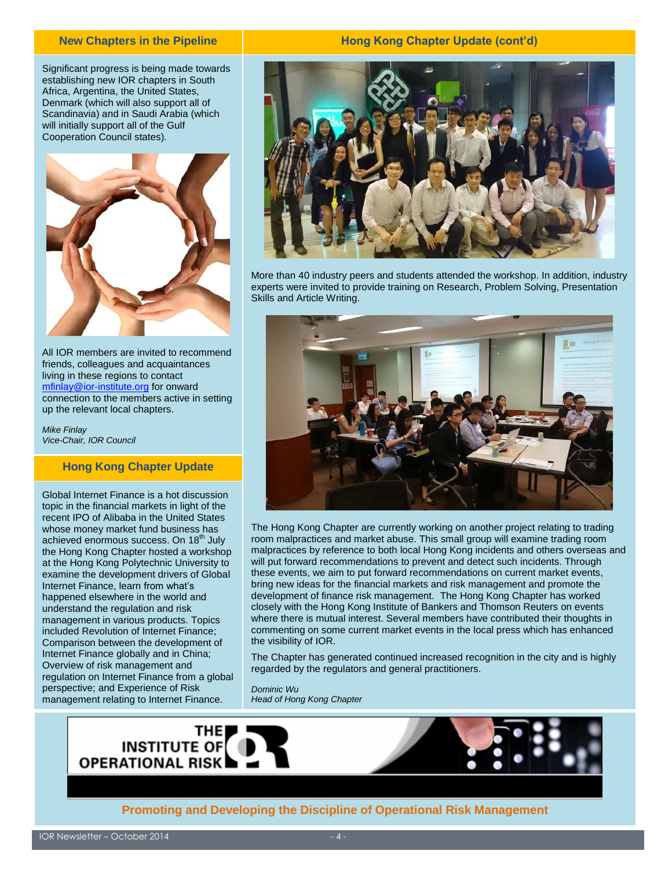#### **New Chapters in the Pipeline**

Significant progress is being made towards establishing new IOR chapters in South Africa, Argentina, the United States, Denmark (which will also support all of Scandinavia) and in Saudi Arabia (which will initially support all of the Gulf Cooperation Council states).



All IOR members are invited to recommend friends, colleagues and acquaintances living in these regions to contact [mfinlay@ior-institute.org](mailto:mfinlay@ior-institute.org) for onward connection to the members active in setting up the relevant local chapters.

*Mike Finlay Vice-Chair, IOR Council*

## **Hong Kong Chapter Update**

Global Internet Finance is a hot discussion topic in the financial markets in light of the recent IPO of Alibaba in the United States whose money market fund business has achieved enormous success. On 18<sup>th</sup> July the Hong Kong Chapter hosted a workshop at the Hong Kong Polytechnic University to examine the development drivers of Global Internet Finance, learn from what's happened elsewhere in the world and understand the regulation and risk management in various products. Topics included Revolution of Internet Finance; Comparison between the development of Internet Finance globally and in China; Overview of risk management and regulation on Internet Finance from a global perspective; and Experience of Risk management relating to Internet Finance.

#### **Hong Kong Chapter Update (cont'd)**



More than 40 industry peers and students attended the workshop. In addition, industry experts were invited to provide training on Research, Problem Solving, Presentation Skills and Article Writing.



The Hong Kong Chapter are currently working on another project relating to trading room malpractices and market abuse. This small group will examine trading room malpractices by reference to both local Hong Kong incidents and others overseas and will put forward recommendations to prevent and detect such incidents. Through these events, we aim to put forward recommendations on current market events, bring new ideas for the financial markets and risk management and promote the development of finance risk management. The Hong Kong Chapter has worked closely with the Hong Kong Institute of Bankers and Thomson Reuters on events where there is mutual interest. Several members have contributed their thoughts in commenting on some current market events in the local press which has enhanced the visibility of IOR.

The Chapter has generated continued increased recognition in the city and is highly regarded by the regulators and general practitioners.

*Dominic Wu Head of Hong Kong Chapter*



**Promoting and Developing the Discipline of Operational Risk Management**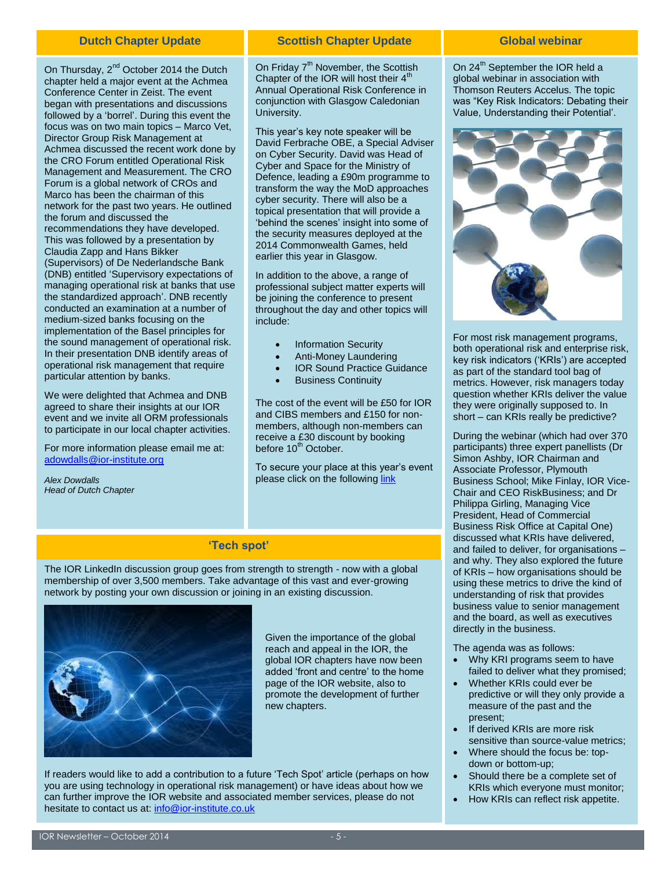On Thursday, 2<sup>nd</sup> October 2014 the Dutch chapter held a major event at the Achmea Conference Center in Zeist. The event began with presentations and discussions followed by a 'borrel'. During this event the focus was on two main topics – Marco Vet, Director Group Risk Management at Achmea discussed the recent work done by the CRO Forum entitled Operational Risk Management and Measurement. The CRO Forum is a global network of CROs and Marco has been the chairman of this network for the past two years. He outlined the forum and discussed the recommendations they have developed. This was followed by a presentation by Claudia Zapp and Hans Bikker (Supervisors) of De Nederlandsche Bank (DNB) entitled 'Supervisory expectations of managing operational risk at banks that use the standardized approach'. DNB recently conducted an examination at a number of medium-sized banks focusing on the implementation of the Basel principles for the sound management of operational risk. In their presentation DNB identify areas of operational risk management that require particular attention by banks.

We were delighted that Achmea and DNB agreed to share their insights at our IOR event and we invite all ORM professionals to participate in our local chapter activities.

For more information please email me at: [adowdalls@ior-institute.org](mailto:adowdalls@ior-institute.org)

*Alex Dowdalls Head of Dutch Chapter*

#### **Dutch Chapter Update Global webinar Scottish Chapter Update**

On Friday  $7<sup>th</sup>$  November, the Scottish Chapter of the IOR will host their  $4<sup>th</sup>$ Annual Operational Risk Conference in conjunction with Glasgow Caledonian University.

This year's key note speaker will be David Ferbrache OBE, a Special Adviser on Cyber Security. David was Head of Cyber and Space for the Ministry of Defence, leading a £90m programme to transform the way the MoD approaches cyber security. There will also be a topical presentation that will provide a 'behind the scenes' insight into some of the security measures deployed at the 2014 Commonwealth Games, held earlier this year in Glasgow.

In addition to the above, a range of professional subject matter experts will be joining the conference to present throughout the day and other topics will include:

- Information Security
- Anti-Money Laundering
- IOR Sound Practice Guidance
- Business Continuity

The cost of the event will be £50 for IOR and CIBS members and £150 for nonmembers, although non-members can receive a £30 discount by booking before 10<sup>th</sup> October.

To secure your place at this year's event please click on the following [link](http://www.eventbrite.co.uk/e/scottish-ior-conference-2014-tickets-13064082021)

#### **'Tech spot'**

The IOR LinkedIn discussion group goes from strength to strength - now with a global membership of over 3,500 members. Take advantage of this vast and ever-growing network by posting your own discussion or joining in an existing discussion.



Given the importance of the global reach and appeal in the IOR, the global IOR chapters have now been added 'front and centre' to the home page of the IOR website, also to promote the development of further new chapters.

If readers would like to add a contribution to a future 'Tech Spot' article (perhaps on how you are using technology in operational risk management) or have ideas about how we can further improve the IOR website and associated member services, please do not hesitate to contact us at[: info@ior-institute.co.uk](mailto:info@ior-institute.co.uk)

On 24<sup>th</sup> September the IOR held a global webinar in association with Thomson Reuters Accelus. The topic was "Key Risk Indicators: Debating their Value, Understanding their Potential'.



For most risk management programs, both operational risk and enterprise risk, key risk indicators ('KRIs') are accepted as part of the standard tool bag of metrics. However, risk managers today question whether KRIs deliver the value they were originally supposed to. In short – can KRIs really be predictive?

During the webinar (which had over 370 participants) three expert panellists (Dr Simon Ashby, IOR Chairman and Associate Professor, Plymouth Business School; Mike Finlay, IOR Vice-Chair and CEO RiskBusiness; and Dr Philippa Girling, Managing Vice President, Head of Commercial Business Risk Office at Capital One) discussed what KRIs have delivered, and failed to deliver, for organisations – and why. They also explored the future of KRIs – how organisations should be using these metrics to drive the kind of understanding of risk that provides business value to senior management and the board, as well as executives directly in the business.

The agenda was as follows:

- Why KRI programs seem to have failed to deliver what they promised;
- Whether KRIs could ever be predictive or will they only provide a measure of the past and the present;
- If derived KRIs are more risk sensitive than source-value metrics;
- Where should the focus be: topdown or bottom-up;
- Should there be a complete set of KRIs which everyone must monitor;
- How KRIs can reflect risk appetite.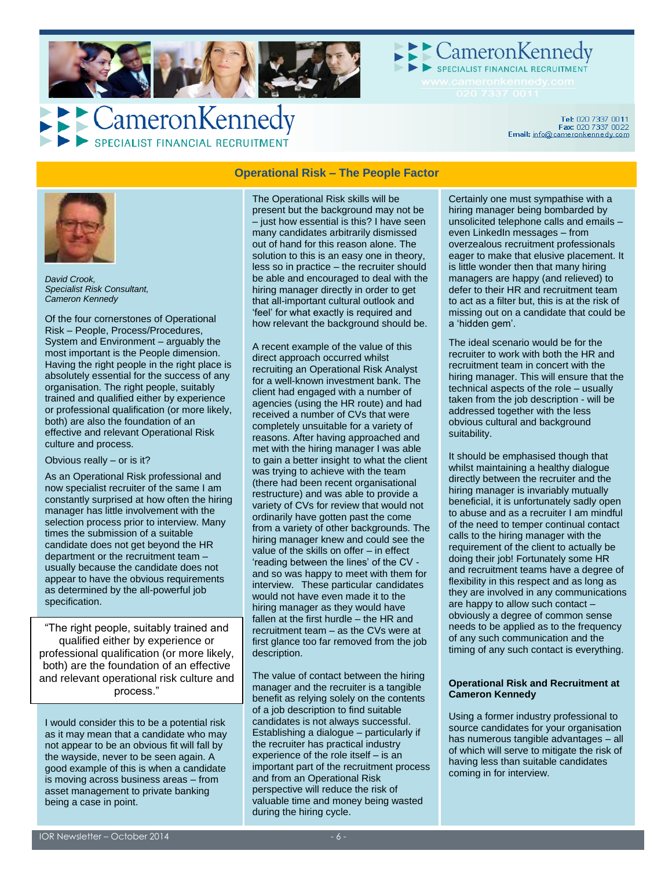

Cameron Kennedy

## CameronKennedy SPECIALIST FINANCIAL RECRUITMENT

Tel: 020 7337 0011<br>Fax: 020 7337 0022<br>Email: info@cameronkennedy.com



*David Crook, Specialist Risk Consultant, Cameron Kennedy*

Of the four cornerstones of Operational Risk – People, Process/Procedures, System and Environment – arguably the most important is the People dimension. Having the right people in the right place is absolutely essential for the success of any organisation. The right people, suitably trained and qualified either by experience or professional qualification (or more likely, both) are also the foundation of an effective and relevant Operational Risk culture and process.

#### Obvious really – or is it?

As an Operational Risk professional and now specialist recruiter of the same I am constantly surprised at how often the hiring manager has little involvement with the selection process prior to interview. Many times the submission of a suitable candidate does not get beyond the HR department or the recruitment team – usually because the candidate does not appear to have the obvious requirements as determined by the all-powerful job specification.

"The right people, suitably trained and qualified either by experience or professional qualification (or more likely, both) are the foundation of an effective and relevant operational risk culture and process."

I would consider this to be a potential risk as it may mean that a candidate who may not appear to be an obvious fit will fall by the wayside, never to be seen again. A good example of this is when a candidate is moving across business areas – from asset management to private banking being a case in point.

## **Operational Risk – The People Factor**

The Operational Risk skills will be present but the background may not be – just how essential is this? I have seen many candidates arbitrarily dismissed out of hand for this reason alone. The solution to this is an easy one in theory, less so in practice – the recruiter should be able and encouraged to deal with the hiring manager directly in order to get that all-important cultural outlook and 'feel' for what exactly is required and how relevant the background should be.

A recent example of the value of this direct approach occurred whilst recruiting an Operational Risk Analyst for a well-known investment bank. The client had engaged with a number of agencies (using the HR route) and had received a number of CVs that were completely unsuitable for a variety of reasons. After having approached and met with the hiring manager I was able to gain a better insight to what the client was trying to achieve with the team (there had been recent organisational restructure) and was able to provide a variety of CVs for review that would not ordinarily have gotten past the come from a variety of other backgrounds. The hiring manager knew and could see the value of the skills on offer – in effect 'reading between the lines' of the CV and so was happy to meet with them for interview. These particular candidates would not have even made it to the hiring manager as they would have fallen at the first hurdle – the HR and recruitment team – as the CVs were at first glance too far removed from the job description.

The value of contact between the hiring manager and the recruiter is a tangible benefit as relying solely on the contents of a job description to find suitable candidates is not always successful. Establishing a dialogue – particularly if the recruiter has practical industry experience of the role itself – is an important part of the recruitment process and from an Operational Risk perspective will reduce the risk of valuable time and money being wasted during the hiring cycle.

Certainly one must sympathise with a hiring manager being bombarded by unsolicited telephone calls and emails – even LinkedIn messages – from overzealous recruitment professionals eager to make that elusive placement. It is little wonder then that many hiring managers are happy (and relieved) to defer to their HR and recruitment team to act as a filter but, this is at the risk of missing out on a candidate that could be a 'hidden gem'.

The ideal scenario would be for the recruiter to work with both the HR and recruitment team in concert with the hiring manager. This will ensure that the technical aspects of the role – usually taken from the job description - will be addressed together with the less obvious cultural and background suitability.

It should be emphasised though that whilst maintaining a healthy dialogue directly between the recruiter and the hiring manager is invariably mutually beneficial, it is unfortunately sadly open to abuse and as a recruiter I am mindful of the need to temper continual contact calls to the hiring manager with the requirement of the client to actually be doing their job! Fortunately some HR and recruitment teams have a degree of flexibility in this respect and as long as they are involved in any communications are happy to allow such contact – obviously a degree of common sense needs to be applied as to the frequency of any such communication and the timing of any such contact is everything.

#### **Operational Risk and Recruitment at Cameron Kennedy**

Using a former industry professional to source candidates for your organisation has numerous tangible advantages – all of which will serve to mitigate the risk of having less than suitable candidates coming in for interview.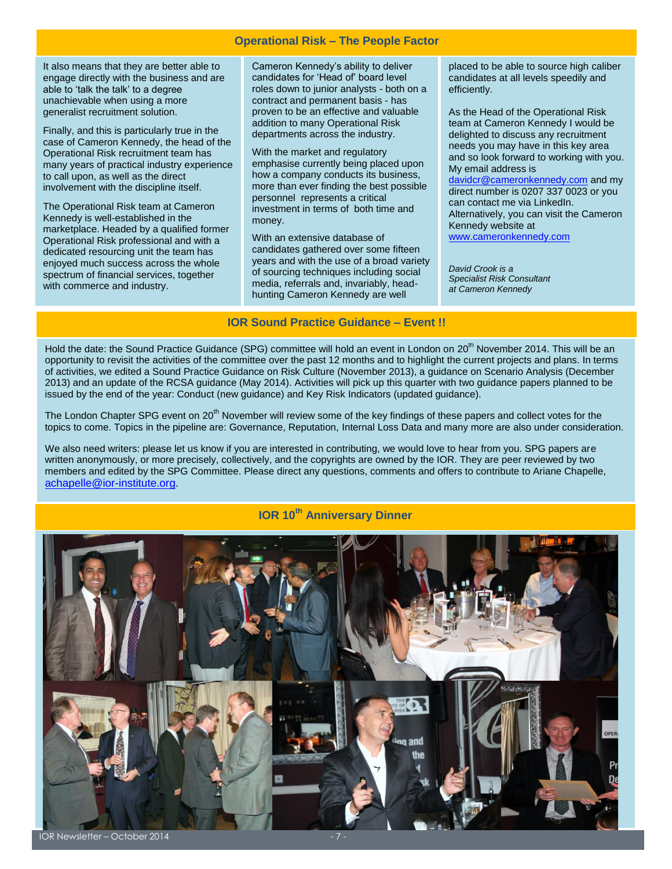#### **Operational Risk – The People Factor**

It also means that they are better able to engage directly with the business and are able to 'talk the talk' to a degree unachievable when using a more generalist recruitment solution.

Finally, and this is particularly true in the case of Cameron Kennedy, the head of the Operational Risk recruitment team has many years of practical industry experience to call upon, as well as the direct involvement with the discipline itself.

The Operational Risk team at Cameron Kennedy is well-established in the marketplace. Headed by a qualified former Operational Risk professional and with a dedicated resourcing unit the team has enjoyed much success across the whole spectrum of financial services, together with commerce and industry.

Cameron Kennedy's ability to deliver candidates for 'Head of' board level roles down to junior analysts - both on a contract and permanent basis - has proven to be an effective and valuable addition to many Operational Risk departments across the industry.

With the market and regulatory emphasise currently being placed upon how a company conducts its business, more than ever finding the best possible personnel represents a critical investment in terms of both time and money.

With an extensive database of candidates gathered over some fifteen years and with the use of a broad variety of sourcing techniques including social media, referrals and, invariably, headhunting Cameron Kennedy are well

placed to be able to source high caliber candidates at all levels speedily and efficiently.

As the Head of the Operational Risk team at Cameron Kennedy I would be delighted to discuss any recruitment needs you may have in this key area and so look forward to working with you. My email address is

[davidcr@cameronkennedy.com](mailto:davidcr@cameronkennedy.com) and my direct number is 0207 337 0023 or you can contact me via LinkedIn. Alternatively, you can visit the Cameron Kennedy website at [www.cameronkennedy.com](http://www.cameronkennedy.com/)

*David Crook is a Specialist Risk Consultant at Cameron Kennedy*

#### **IOR Sound Practice Guidance – Event !!**

Hold the date: the Sound Practice Guidance (SPG) committee will hold an event in London on 20<sup>th</sup> November 2014. This will be an opportunity to revisit the activities of the committee over the past 12 months and to highlight the current projects and plans. In terms of activities, we edited a Sound Practice Guidance on Risk Culture (November 2013), a guidance on Scenario Analysis (December 2013) and an update of the RCSA guidance (May 2014). Activities will pick up this quarter with two guidance papers planned to be issued by the end of the year: Conduct (new guidance) and Key Risk Indicators (updated guidance).

The London Chapter SPG event on 20<sup>th</sup> November will review some of the key findings of these papers and collect votes for the topics to come. Topics in the pipeline are: Governance, Reputation, Internal Loss Data and many more are also under consideration.

We also need writers: please let us know if you are interested in contributing, we would love to hear from you. SPG papers are written anonymously, or more precisely, collectively, and the copyrights are owned by the IOR. They are peer reviewed by two members and edited by the SPG Committee. Please direct any questions, comments and offers to contribute to Ariane Chapelle, [achapelle@ior-institute.org.](mailto:achapelle@ior-institute.org)

## **IOR 10th Anniversary Dinner**

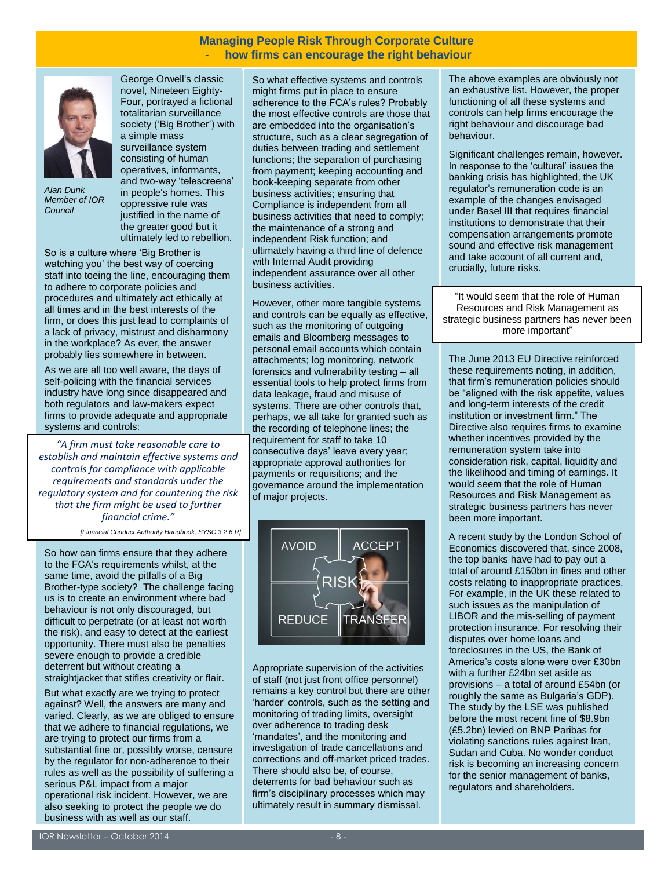#### **Managing People Risk Through Corporate Culture** - **how firms can encourage the right behaviour**



*Alan Dunk Member of IOR Council*

[George Orwell's](http://en.wikipedia.org/wiki/George_Orwell) classic novel[, Nineteen Eighty-](http://en.wikipedia.org/wiki/Nineteen_Eighty-Four)[Four,](http://en.wikipedia.org/wiki/Nineteen_Eighty-Four) portrayed a fictional [totalitarian](http://en.wikipedia.org/wiki/Totalitarian) surveillance society ('Big Brother') with a simple [mass](http://en.wikipedia.org/wiki/Mass_surveillance)  [surveillance](http://en.wikipedia.org/wiki/Mass_surveillance) system consisting of human operatives, informants, and two-way 'telescreens' in people's homes. This oppressive rule was justified in the name of the greater good but it ultimately led to rebellion.

**Alarm Management of Risk**  staff into toeing the line, encouraging them to adhere to corporate policies and **Educational Forum** procedures and ultimately act ethically at firm, or does this just lead to complaints of a lack of privacy, mistrust and disharmony in the workplace? As ever, the answer probably lies somewhere in between. So is a culture where 'Big Brother is watching you' the best way of coercing all times and in the best interests of the

As we are all too well aware, the days of self-policing with the financial services industry have long since disappeared and both regulators and law-makers expect firms to provide adequate and appropriate systems and controls: Figure and Resource

 $\theta$  Services,  $\theta$  and  $\theta$  and  $\theta$  are  $\theta$  and  $\theta$ Service, Universities, The Environment *"A firm must take reasonable care to*  establish and maintain effective systems and controls for compliance with applicable *requirements and standards under the* that the firm might be used to further M\_o\_R® is part of a suite of Best *financial crime." J*<sup>mancial</sup> Guideance published published published published published published published published published published published published published published published published published published published published *regulatory system and for countering the risk* 

*[Financial Conduct Authority Handbook, SYSC 3.2.6 R]* 

 $\Omega$  and accreditation and  $\Omega$  and  $\Omega$  and  $\Omega$  and  $\Omega$ So how can firms ensure that they adhere to the FCA's requirements whilst, at the  $\sim$ same time, avoid the pitfalls of a Big  $\overline{B}$ Brother-type society? The challenge facing us is to create an environment where bad behaviour is not only discouraged, but  $t$  are perfected in the context of  $t$  and  $t$  and  $t$  and  $t$  and  $t$  and  $t$  and  $t$  and  $t$  and  $t$  and  $t$  and  $t$  and  $t$  and  $t$  and  $t$  and  $t$  and  $t$  and  $t$  and  $t$  and  $t$  and  $t$  and  $t$  and  $t$  and  $t$  and the risk), and easy to detect at the earliest opportunity. There must also be penalties severe enough to provide a credible  $A$ straightjacket that stifles creativity or flair. difficult to perpetrate (or at least not worth deterrent but without creating a

against? Well, the answers are many and varied. Clearly, as we are obliged to ensure that we adhere to financial regulations, we are trying to protect our firms from a substantial fine or, possibly worse, censure by the regulator for non-adherence to their rules as well as the possibility of suffering a serious P&L impact from a major operational risk incident. However, we are also seeking to protect the people we do But what exactly are we trying to protect business with as well as our staff.

So what effective systems and controls might firms put in place to ensure adherence to the FCA's rules? Probably the most effective controls are those that are embedded into the organisation's structure, such as a clear segregation of duties between trading and settlement functions; the separation of purchasing from payment; keeping accounting and book-keeping separate from other business activities; ensuring that Compliance is independent from all business activities that need to comply; the maintenance of a strong and independent Risk function; and ultimately having a third line of defence with Internal Audit providing independent assurance over all other business activities.

However, other more tangible systems and controls can be equally as effective, such as the monitoring of outgoing emails and Bloomberg messages to personal email accounts which contain attachments; log monitoring, network forensics and vulnerability testing – all essential tools to help protect firms from data leakage, fraud and misuse of systems. There are other controls that, perhaps, we all take for granted such as the recording of telephone lines; the requirement for staff to take 10 consecutive days' leave every year; appropriate approval authorities for payments or requisitions; and the governance around the implementation of major projects.



Appropriate supervision of the activities of staff (not just front office personnel) remains a key control but there are other 'harder' controls, such as the setting and monitoring of trading limits, oversight over adherence to trading desk 'mandates', and the monitoring and investigation of trade cancellations and corrections and off-market priced trades. There should also be, of course, deterrents for bad behaviour such as firm's disciplinary processes which may ultimately result in summary dismissal.

The above examples are obviously not an exhaustive list. However, the proper functioning of all these systems and controls can help firms encourage the right behaviour and discourage bad behaviour.

Significant challenges remain, however. In response to the 'cultural' issues the banking crisis has highlighted, the UK regulator's remuneration code is an example of the changes envisaged under Basel III that requires financial institutions to demonstrate that their compensation arrangements promote sound and effective risk management and take account of all current and, crucially, future risks.

"It would seem that the role of Human Resources and Risk Management as strategic business partners has never been more important"

The June 2013 EU Directive reinforced these requirements noting, in addition, that firm's remuneration policies should be "aligned with the risk appetite, values and long-term interests of the credit institution or investment firm." The Directive also requires firms to examine whether incentives provided by the remuneration system take into consideration risk, capital, liquidity and the likelihood and timing of earnings. It would seem that the role of Human Resources and Risk Management as strategic business partners has never been more important.

A recent study by the London School of Economics discovered that, since 2008, the top banks have had to pay out a total of around £150bn in fines and other costs relating to inappropriate practices. For example, in the UK these related to such issues as the manipulation of LIBOR and the mis-selling of payment protection insurance. For resolving their disputes over home loans and foreclosures in the US, the Bank of America's costs alone were over £30bn with a further £24bn set aside as provisions – a total of around £54bn (or roughly the same as Bulgaria's GDP). The study by the LSE was published before the most recent fine of \$8.9bn (£5.2bn) levied on BNP Paribas for violating sanctions rules against Iran, Sudan and Cuba. No wonder conduct risk is becoming an increasing concern for the senior management of banks, regulators and shareholders.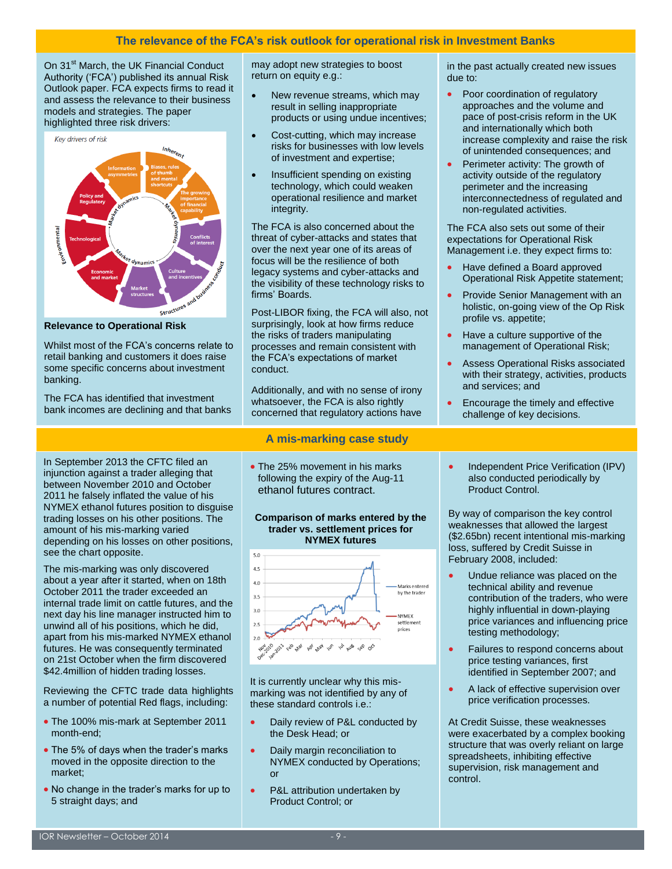On 31<sup>st</sup> March, the UK Financial Conduct Authority ('FCA') published its annual Risk Outlook paper. FCA expects firms to read it and assess the relevance to their business models and strategies. The paper highlighted three risk drivers:



**Relevance to Operational Risk**

Whilst most of the FCA's concerns relate to retail banking and customers it does raise some specific concerns about investment banking.

The FCA has identified that investment bank incomes are declining and that banks

In September 2013 the CFTC filed an injunction against a trader alleging that between November 2010 and October 2011 he falsely inflated the value of his NYMEX ethanol futures position to disguise trading losses on his other positions. The amount of his mis-marking varied depending on his losses on other positions, see the chart opposite.

The mis-marking was only discovered about a year after it started, when on 18th October 2011 the trader exceeded an internal trade limit on cattle futures, and the next day his line manager instructed him to unwind all of his positions, which he did, apart from his mis-marked NYMEX ethanol futures. He was consequently terminated on 21st October when the firm discovered \$42.4million of hidden trading losses.

Reviewing the CFTC trade data highlights a number of potential Red flags, including:

- The 100% mis-mark at September 2011 month-end;
- The 5% of days when the trader's marks moved in the opposite direction to the market;
- No change in the trader's marks for up to 5 straight days; and

may adopt new strategies to boost return on equity e.g.:

- New revenue streams, which may result in selling inappropriate products or using undue incentives;
- Cost-cutting, which may increase risks for businesses with low levels of investment and expertise;
- Insufficient spending on existing technology, which could weaken operational resilience and market integrity.

The FCA is also concerned about the threat of cyber-attacks and states that over the next year one of its areas of focus will be the resilience of both legacy systems and cyber-attacks and the visibility of these technology risks to firms' Boards.

Post-LIBOR fixing, the FCA will also, not surprisingly, look at how firms reduce the risks of traders manipulating processes and remain consistent with the FCA's expectations of market conduct.

Additionally, and with no sense of irony whatsoever, the FCA is also rightly concerned that regulatory actions have

#### **A mis-marking case study**

• The 25% movement in his marks following the expiry of the Aug-11 ethanol futures contract.

#### **Comparison of marks entered by the trader vs. settlement prices for NYMEX futures**



It is currently unclear why this mismarking was not identified by any of these standard controls i.e.:

- Daily review of P&L conducted by the Desk Head; or
- Daily margin reconciliation to NYMEX conducted by Operations; or
- P&L attribution undertaken by Product Control; or

in the past actually created new issues due to:

- Poor coordination of regulatory approaches and the volume and pace of post-crisis reform in the UK and internationally which both increase complexity and raise the risk of unintended consequences; and
- Perimeter activity: The growth of activity outside of the regulatory perimeter and the increasing interconnectedness of regulated and non-regulated activities.

The FCA also sets out some of their expectations for Operational Risk Management i.e. they expect firms to:

- Have defined a Board approved Operational Risk Appetite statement;
- Provide Senior Management with an holistic, on-going view of the Op Risk profile vs. appetite;
- Have a culture supportive of the management of Operational Risk;
- Assess Operational Risks associated with their strategy, activities, products and services; and
- Encourage the timely and effective challenge of key decisions.
- Independent Price Verification (IPV) also conducted periodically by Product Control.

By way of comparison the key control weaknesses that allowed the largest (\$2.65bn) recent intentional mis-marking loss, suffered by Credit Suisse in February 2008, included:

- Undue reliance was placed on the technical ability and revenue contribution of the traders, who were highly influential in down-playing price variances and influencing price testing methodology;
- Failures to respond concerns about price testing variances, first identified in September 2007; and
- A lack of effective supervision over price verification processes.

At Credit Suisse, these weaknesses were exacerbated by a complex booking structure that was overly reliant on large spreadsheets, inhibiting effective supervision, risk management and control.